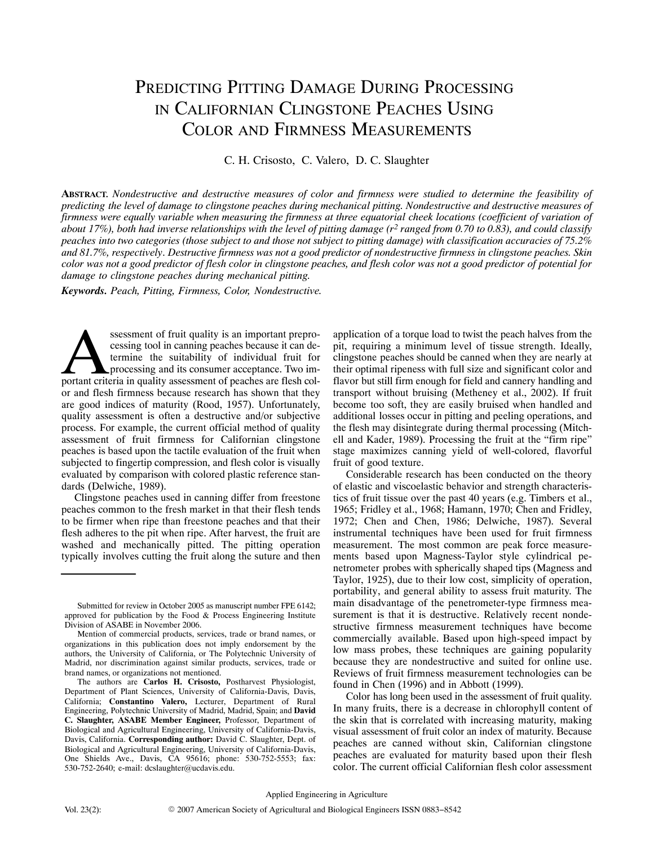# PREDICTING PITTING DAMAGE DURING PROCESSING IN CALIFORNIAN CLINGSTONE PEACHES USING COLOR AND FIRMNESS MEASUREMENTS

C. H. Crisosto, C. Valero, D. C. Slaughter

**ABSTRACT.** *Nondestructive and destructive measures of color and firmness were studied to determine the feasibility of predicting the level of damage to clingstone peaches during mechanical pitting. Nondestructive and destructive measures of firmness were equally variable when measuring the firmness at three equatorial cheek locations (coefficient of variation of about 17%), both had inverse relationships with the level of pitting damage (r2 ranged from 0.70 to 0.83), and could classify peaches into two categories (those subject to and those not subject to pitting damage) with classification accuracies of 75.2% and 81.7%, respectively. Destructive firmness was not a good predictor of nondestructive firmness in clingstone peaches. Skin color was not a good predictor of flesh color in clingstone peaches, and flesh color was not a good predictor of potential for damage to clingstone peaches during mechanical pitting.*

*Keywords. Peach, Pitting, Firmness, Color, Nondestructive.*

ssessment of fruit quality is an important preprocessing tool in canning peaches because it can determine the suitability of individual fruit for processing and its consumer acceptance. Two imssessment of fruit quality is an important preprocessing tool in canning peaches because it can determine the suitability of individual fruit for processing and its consumer acceptance. Two important criteria in quality as or and flesh firmness because research has shown that they are good indices of maturity (Rood, 1957). Unfortunately, quality assessment is often a destructive and/or subjective process. For example, the current official method of quality assessment of fruit firmness for Californian clingstone peaches is based upon the tactile evaluation of the fruit when subjected to fingertip compression, and flesh color is visually evaluated by comparison with colored plastic reference standards (Delwiche, 1989).

Clingstone peaches used in canning differ from freestone peaches common to the fresh market in that their flesh tends to be firmer when ripe than freestone peaches and that their flesh adheres to the pit when ripe. After harvest, the fruit are washed and mechanically pitted. The pitting operation typically involves cutting the fruit along the suture and then

application of a torque load to twist the peach halves from the pit, requiring a minimum level of tissue strength. Ideally, clingstone peaches should be canned when they are nearly at their optimal ripeness with full size and significant color and flavor but still firm enough for field and cannery handling and transport without bruising (Metheney et al., 2002). If fruit become too soft, they are easily bruised when handled and additional losses occur in pitting and peeling operations, and the flesh may disintegrate during thermal processing (Mitchell and Kader, 1989). Processing the fruit at the "firm ripe" stage maximizes canning yield of well-colored, flavorful fruit of good texture.

Considerable research has been conducted on the theory of elastic and viscoelastic behavior and strength characteristics of fruit tissue over the past 40 years (e.g. Timbers et al., 1965; Fridley et al., 1968; Hamann, 1970; Chen and Fridley, 1972; Chen and Chen, 1986; Delwiche, 1987). Several instrumental techniques have been used for fruit firmness measurement. The most common are peak force measurements based upon Magness-Taylor style cylindrical penetrometer probes with spherically shaped tips (Magness and Taylor, 1925), due to their low cost, simplicity of operation, portability, and general ability to assess fruit maturity. The main disadvantage of the penetrometer-type firmness measurement is that it is destructive. Relatively recent nondestructive firmness measurement techniques have become commercially available. Based upon high-speed impact by low mass probes, these techniques are gaining popularity because they are nondestructive and suited for online use. Reviews of fruit firmness measurement technologies can be found in Chen (1996) and in Abbott (1999).

Color has long been used in the assessment of fruit quality. In many fruits, there is a decrease in chlorophyll content of the skin that is correlated with increasing maturity, making visual assessment of fruit color an index of maturity. Because peaches are canned without skin, Californian clingstone peaches are evaluated for maturity based upon their flesh color. The current official Californian flesh color assessment

Submitted for review in October 2005 as manuscript number FPE 6142; approved for publication by the Food & Process Engineering Institute Division of ASABE in November 2006.

Mention of commercial products, services, trade or brand names, or organizations in this publication does not imply endorsement by the authors, the University of California, or The Polytechnic University of Madrid, nor discrimination against similar products, services, trade or brand names, or organizations not mentioned.

The authors are **Carlos H. Crisosto,** Postharvest Physiologist, Department of Plant Sciences, University of California-Davis, Davis, California; **Constantino Valero,** Lecturer, Department of Rural Engineering, Polytechnic University of Madrid, Madrid, Spain; and **David C. Slaughter, ASABE Member Engineer,** Professor, Department of Biological and Agricultural Engineering, University of California-Davis, Davis, California. **Corresponding author:** David C. Slaughter, Dept. of Biological and Agricultural Engineering, University of California-Davis, One Shields Ave., Davis, CA 95616; phone: 530-752-5553; fax: 530-752-2640; e-mail: dcslaughter@ucdavis.edu.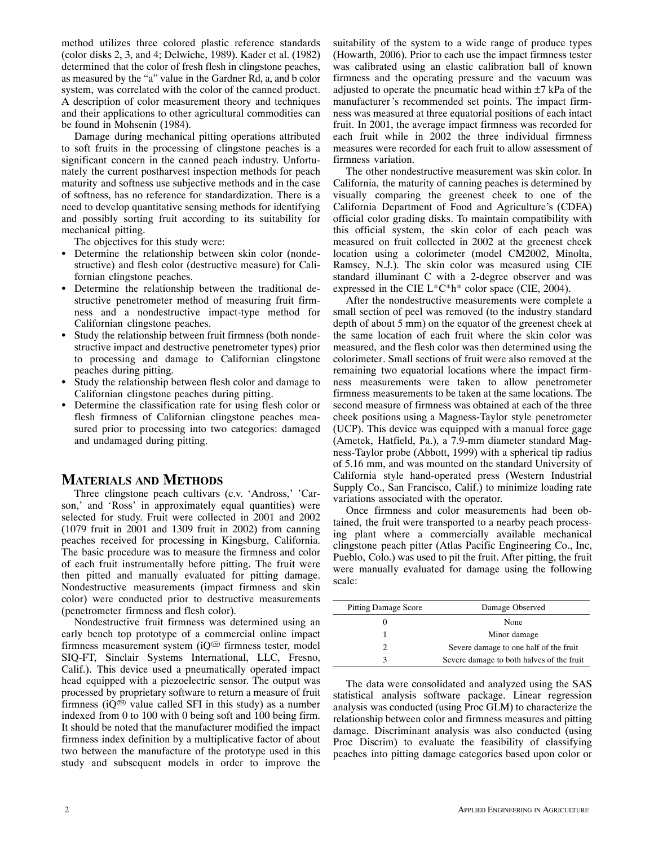method utilizes three colored plastic reference standards (color disks 2, 3, and 4; Delwiche, 1989). Kader et al. (1982) determined that the color of fresh flesh in clingstone peaches, as measured by the "a" value in the Gardner Rd, a, and b color system, was correlated with the color of the canned product. A description of color measurement theory and techniques and their applications to other agricultural commodities can be found in Mohsenin (1984).

Damage during mechanical pitting operations attributed to soft fruits in the processing of clingstone peaches is a significant concern in the canned peach industry. Unfortunately the current postharvest inspection methods for peach maturity and softness use subjective methods and in the case of softness, has no reference for standardization. There is a need to develop quantitative sensing methods for identifying and possibly sorting fruit according to its suitability for mechanical pitting.

The objectives for this study were:

- Determine the relationship between skin color (nondestructive) and flesh color (destructive measure) for Californian clingstone peaches.
- Determine the relationship between the traditional destructive penetrometer method of measuring fruit firmness and a nondestructive impact-type method for Californian clingstone peaches.
- Study the relationship between fruit firmness (both nondestructive impact and destructive penetrometer types) prior to processing and damage to Californian clingstone peaches during pitting.
- - Study the relationship between flesh color and damage to Californian clingstone peaches during pitting.
- Determine the classification rate for using flesh color or flesh firmness of Californian clingstone peaches measured prior to processing into two categories: damaged and undamaged during pitting.

### **MATERIALS AND METHODS**

Three clingstone peach cultivars (c.v. 'Andross,' 'Carson,' and 'Ross' in approximately equal quantities) were selected for study. Fruit were collected in 2001 and 2002 (1079 fruit in 2001 and 1309 fruit in 2002) from canning peaches received for processing in Kingsburg, California. The basic procedure was to measure the firmness and color of each fruit instrumentally before pitting. The fruit were then pitted and manually evaluated for pitting damage. Nondestructive measurements (impact firmness and skin color) were conducted prior to destructive measurements (penetrometer firmness and flesh color).

Nondestructive fruit firmness was determined using an early bench top prototype of a commercial online impact firmness measurement system ( $iQ^{\text{m}}$  firmness tester, model SIQ-FT, Sinclair Systems International, LLC, Fresno, Calif.). This device used a pneumatically operated impact head equipped with a piezoelectric sensor. The output was processed by proprietary software to return a measure of fruit firmness ( $iQ^{\odot}$  value called SFI in this study) as a number indexed from 0 to 100 with 0 being soft and 100 being firm. It should be noted that the manufacturer modified the impact firmness index definition by a multiplicative factor of about two between the manufacture of the prototype used in this study and subsequent models in order to improve the suitability of the system to a wide range of produce types (Howarth, 2006). Prior to each use the impact firmness tester was calibrated using an elastic calibration ball of known firmness and the operating pressure and the vacuum was adjusted to operate the pneumatic head within  $\pm$ 7 kPa of the manufacturer 's recommended set points. The impact firmness was measured at three equatorial positions of each intact fruit. In 2001, the average impact firmness was recorded for each fruit while in 2002 the three individual firmness measures were recorded for each fruit to allow assessment of firmness variation.

The other nondestructive measurement was skin color. In California, the maturity of canning peaches is determined by visually comparing the greenest cheek to one of the California Department of Food and Agriculture's (CDFA) official color grading disks. To maintain compatibility with this official system, the skin color of each peach was measured on fruit collected in 2002 at the greenest cheek location using a colorimeter (model CM2002, Minolta, Ramsey, N.J.). The skin color was measured using CIE standard illuminant C with a 2-degree observer and was expressed in the CIE  $L^*C^*h^*$  color space (CIE, 2004).

After the nondestructive measurements were complete a small section of peel was removed (to the industry standard depth of about 5 mm) on the equator of the greenest cheek at the same location of each fruit where the skin color was measured, and the flesh color was then determined using the colorimeter. Small sections of fruit were also removed at the remaining two equatorial locations where the impact firmness measurements were taken to allow penetrometer firmness measurements to be taken at the same locations. The second measure of firmness was obtained at each of the three cheek positions using a Magness-Taylor style penetrometer (UCP). This device was equipped with a manual force gage (Ametek, Hatfield, Pa.), a 7.9-mm diameter standard Magness-Taylor probe (Abbott, 1999) with a spherical tip radius of 5.16 mm, and was mounted on the standard University of California style hand-operated press (Western Industrial Supply Co., San Francisco, Calif.) to minimize loading rate variations associated with the operator.

Once firmness and color measurements had been obtained, the fruit were transported to a nearby peach processing plant where a commercially available mechanical clingstone peach pitter (Atlas Pacific Engineering Co., Inc, Pueblo, Colo.) was used to pit the fruit. After pitting, the fruit were manually evaluated for damage using the following scale:

| <b>Pitting Damage Score</b> | Damage Observed                           |  |  |  |  |  |  |
|-----------------------------|-------------------------------------------|--|--|--|--|--|--|
|                             | None                                      |  |  |  |  |  |  |
|                             | Minor damage                              |  |  |  |  |  |  |
|                             | Severe damage to one half of the fruit    |  |  |  |  |  |  |
|                             | Severe damage to both halves of the fruit |  |  |  |  |  |  |

The data were consolidated and analyzed using the SAS statistical analysis software package. Linear regression analysis was conducted (using Proc GLM) to characterize the relationship between color and firmness measures and pitting damage. Discriminant analysis was also conducted (using Proc Discrim) to evaluate the feasibility of classifying peaches into pitting damage categories based upon color or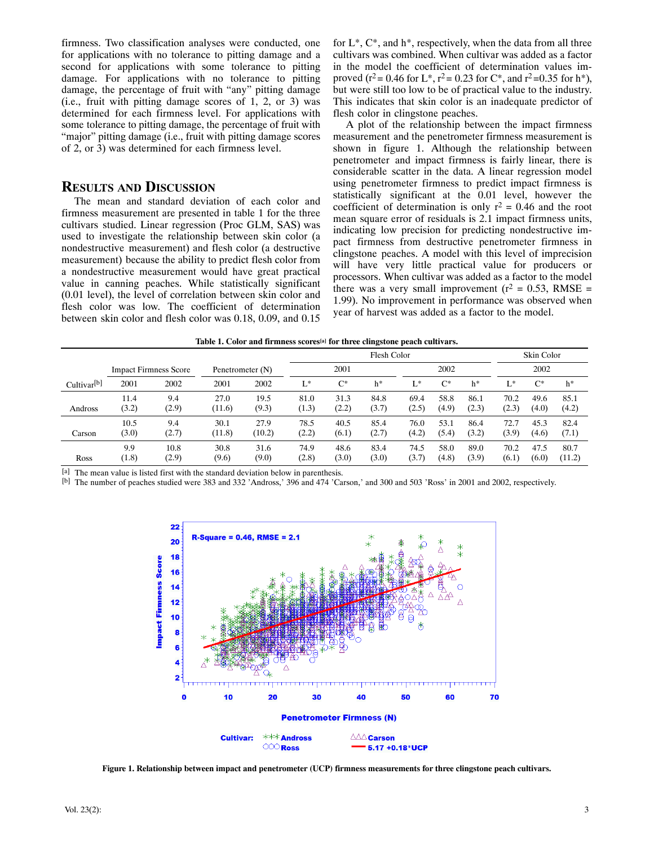firmness. Two classification analyses were conducted, one for applications with no tolerance to pitting damage and a second for applications with some tolerance to pitting damage. For applications with no tolerance to pitting damage, the percentage of fruit with "any" pitting damage (i.e., fruit with pitting damage scores of 1, 2, or 3) was determined for each firmness level. For applications with some tolerance to pitting damage, the percentage of fruit with "major" pitting damage (i.e., fruit with pitting damage scores of 2, or 3) was determined for each firmness level.

## **RESULTS AND DISCUSSION**

The mean and standard deviation of each color and firmness measurement are presented in table 1 for the three cultivars studied. Linear regression (Proc GLM, SAS) was used to investigate the relationship between skin color (a nondestructive measurement) and flesh color (a destructive measurement) because the ability to predict flesh color from a nondestructive measurement would have great practical value in canning peaches. While statistically significant (0.01 level), the level of correlation between skin color and flesh color was low. The coefficient of determination between skin color and flesh color was 0.18, 0.09, and 0.15

for  $L^*$ ,  $C^*$ , and  $h^*$ , respectively, when the data from all three cultivars was combined. When cultivar was added as a factor in the model the coefficient of determination values improved ( $r^2$  = 0.46 for L<sup>\*</sup>,  $r^2$  = 0.23 for C<sup>\*</sup>, and  $r^2$  = 0.35 for h<sup>\*</sup>), but were still too low to be of practical value to the industry. This indicates that skin color is an inadequate predictor of flesh color in clingstone peaches.

A plot of the relationship between the impact firmness measurement and the penetrometer firmness measurement is shown in figure 1. Although the relationship between penetrometer and impact firmness is fairly linear, there is considerable scatter in the data. A linear regression model using penetrometer firmness to predict impact firmness is statistically significant at the 0.01 level, however the coefficient of determination is only  $r^2 = 0.46$  and the root mean square error of residuals is 2.1 impact firmness units, indicating low precision for predicting nondestructive impact firmness from destructive penetrometer firmness in clingstone peaches. A model with this level of imprecision will have very little practical value for producers or processors. When cultivar was added as a factor to the model there was a very small improvement ( $r^2 = 0.53$ , RMSE = 1.99). No improvement in performance was observed when year of harvest was added as a factor to the model.

|                         |       |                              |                  |        | Flesh Color |       |       |       |       |       |       | Skin Color |        |  |
|-------------------------|-------|------------------------------|------------------|--------|-------------|-------|-------|-------|-------|-------|-------|------------|--------|--|
|                         |       | <b>Impact Firmness Score</b> | Penetrometer (N) |        | 2001        |       |       | 2002  |       |       | 2002  |            |        |  |
| Cultivar <sup>[b]</sup> | 2001  | 2002                         | 2001             | 2002   | L*          | $C^*$ | $h^*$ | L*    | $C^*$ | $h^*$ | T *   | $C^*$      | $h^*$  |  |
| Andross                 | 11.4  | 9.4                          | 27.0             | 19.5   | 81.0        | 31.3  | 84.8  | 69.4  | 58.8  | 86.1  | 70.2  | 49.6       | 85.1   |  |
|                         | (3.2) | (2.9)                        | (11.6)           | (9.3)  | (1.3)       | (2.2) | (3.7) | (2.5) | (4.9) | (2.3) | (2.3) | (4.0)      | (4.2)  |  |
| Carson                  | 10.5  | 9.4                          | 30.1             | 27.9   | 78.5        | 40.5  | 85.4  | 76.0  | 53.1  | 86.4  | 72.7  | 45.3       | 82.4   |  |
|                         | (3.0) | (2.7)                        | (11.8)           | (10.2) | (2.2)       | (6.1) | (2.7) | (4.2) | (5.4) | (3.2) | (3.9) | (4.6)      | (7.1)  |  |
| <b>Ross</b>             | 9.9   | 10.8                         | 30.8             | 31.6   | 74.9        | 48.6  | 83.4  | 74.5  | 58.0  | 89.0  | 70.2  | 47.5       | 80.7   |  |
|                         | (1.8) | (2.9)                        | (9.6)            | (9.0)  | (2.8)       | (3.0) | (3.0) | (3.7) | (4.8) | (3.9) | (6.1) | (6.0)      | (11.2) |  |

[a] The mean value is listed first with the standard deviation below in parenthesis.

[b] The number of peaches studied were 383 and 332 'Andross,' 396 and 474 'Carson,' and 300 and 503 'Ross' in 2001 and 2002, respectively.



**Figure 1. Relationship between impact and penetrometer (UCP) firmness measurements for three clingstone peach cultivars.**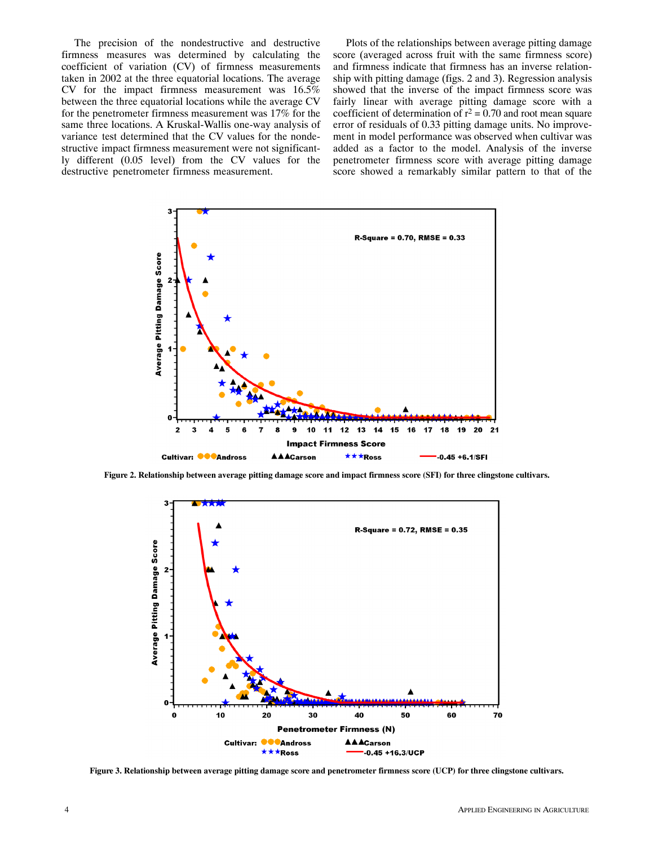The precision of the nondestructive and destructive firmness measures was determined by calculating the coefficient of variation (CV) of firmness measurements taken in 2002 at the three equatorial locations. The average CV for the impact firmness measurement was 16.5% between the three equatorial locations while the average CV for the penetrometer firmness measurement was 17% for the same three locations. A Kruskal-Wallis one-way analysis of variance test determined that the CV values for the nondestructive impact firmness measurement were not significantly different (0.05 level) from the CV values for the destructive penetrometer firmness measurement.

Plots of the relationships between average pitting damage score (averaged across fruit with the same firmness score) and firmness indicate that firmness has an inverse relationship with pitting damage (figs. 2 and 3). Regression analysis showed that the inverse of the impact firmness score was fairly linear with average pitting damage score with a coefficient of determination of  $r^2 = 0.70$  and root mean square error of residuals of 0.33 pitting damage units. No improvement in model performance was observed when cultivar was added as a factor to the model. Analysis of the inverse penetrometer firmness score with average pitting damage score showed a remarkably similar pattern to that of the



**Figure 2. Relationship between average pitting damage score and impact firmness score (SFI) for three clingstone cultivars.**



**Figure 3. Relationship between average pitting damage score and penetrometer firmness score (UCP) for three clingstone cultivars.**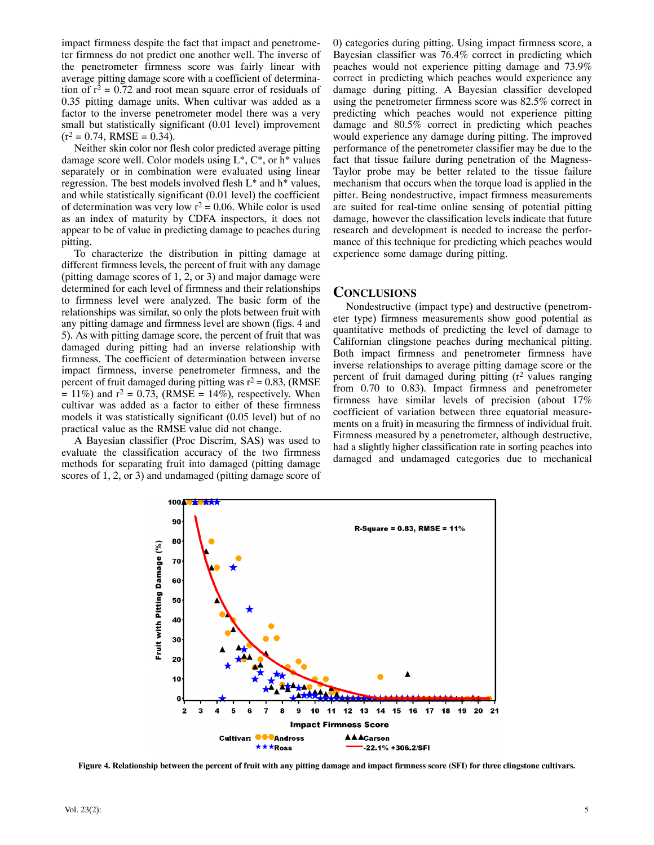impact firmness despite the fact that impact and penetrometer firmness do not predict one another well. The inverse of the penetrometer firmness score was fairly linear with average pitting damage score with a coefficient of determination of  $r^2 = 0.72$  and root mean square error of residuals of 0.35 pitting damage units. When cultivar was added as a factor to the inverse penetrometer model there was a very small but statistically significant (0.01 level) improvement  $(r^2 = 0.74, RMSE = 0.34).$ 

Neither skin color nor flesh color predicted average pitting damage score well. Color models using  $L^*$ ,  $C^*$ , or  $h^*$  values separately or in combination were evaluated using linear regression. The best models involved flesh L\* and h\* values, and while statistically significant (0.01 level) the coefficient of determination was very low  $r^2 = 0.06$ . While color is used as an index of maturity by CDFA inspectors, it does not appear to be of value in predicting damage to peaches during pitting.

To characterize the distribution in pitting damage at different firmness levels, the percent of fruit with any damage (pitting damage scores of 1, 2, or 3) and major damage were determined for each level of firmness and their relationships to firmness level were analyzed. The basic form of the relationships was similar, so only the plots between fruit with any pitting damage and firmness level are shown (figs. 4 and 5). As with pitting damage score, the percent of fruit that was damaged during pitting had an inverse relationship with firmness. The coefficient of determination between inverse impact firmness, inverse penetrometer firmness, and the percent of fruit damaged during pitting was  $r^2 = 0.83$ , (RMSE  $= 11\%$ ) and  $r^2 = 0.73$ , (RMSE = 14%), respectively. When cultivar was added as a factor to either of these firmness models it was statistically significant (0.05 level) but of no practical value as the RMSE value did not change.

A Bayesian classifier (Proc Discrim, SAS) was used to evaluate the classification accuracy of the two firmness methods for separating fruit into damaged (pitting damage scores of 1, 2, or 3) and undamaged (pitting damage score of 0) categories during pitting. Using impact firmness score, a Bayesian classifier was 76.4% correct in predicting which peaches would not experience pitting damage and 73.9% correct in predicting which peaches would experience any damage during pitting. A Bayesian classifier developed using the penetrometer firmness score was 82.5% correct in predicting which peaches would not experience pitting damage and 80.5% correct in predicting which peaches would experience any damage during pitting. The improved performance of the penetrometer classifier may be due to the fact that tissue failure during penetration of the Magness-Taylor probe may be better related to the tissue failure mechanism that occurs when the torque load is applied in the pitter. Being nondestructive, impact firmness measurements are suited for real-time online sensing of potential pitting damage, however the classification levels indicate that future research and development is needed to increase the performance of this technique for predicting which peaches would experience some damage during pitting.

#### **CONCLUSIONS**

Nondestructive (impact type) and destructive (penetrometer type) firmness measurements show good potential as quantitative methods of predicting the level of damage to Californian clingstone peaches during mechanical pitting. Both impact firmness and penetrometer firmness have inverse relationships to average pitting damage score or the percent of fruit damaged during pitting  $(r^2$  values ranging from 0.70 to 0.83). Impact firmness and penetrometer firmness have similar levels of precision (about 17% coefficient of variation between three equatorial measurements on a fruit) in measuring the firmness of individual fruit. Firmness measured by a penetrometer, although destructive, had a slightly higher classification rate in sorting peaches into damaged and undamaged categories due to mechanical



**Figure 4. Relationship between the percent of fruit with any pitting damage and impact firmness score (SFI) for three clingstone cultivars.**